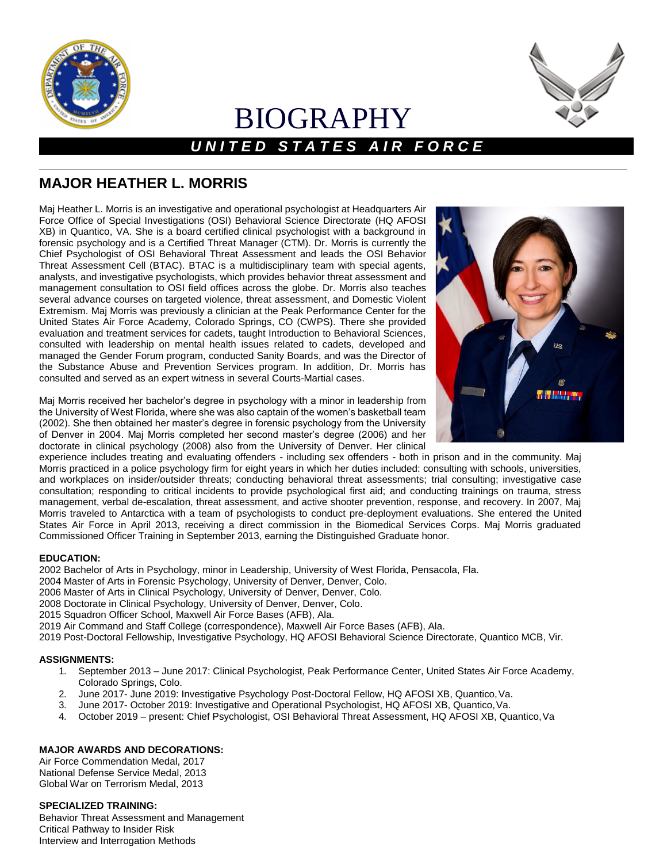



# BIOGRAPHY *U N I T E D S T A T E S A I R F O R C E*

# **MAJOR HEATHER L. MORRIS**

Maj Heather L. Morris is an investigative and operational psychologist at Headquarters Air Force Office of Special Investigations (OSI) Behavioral Science Directorate (HQ AFOSI XB) in Quantico, VA. She is a board certified clinical psychologist with a background in forensic psychology and is a Certified Threat Manager (CTM). Dr. Morris is currently the Chief Psychologist of OSI Behavioral Threat Assessment and leads the OSI Behavior Threat Assessment Cell (BTAC). BTAC is a multidisciplinary team with special agents, analysts, and investigative psychologists, which provides behavior threat assessment and management consultation to OSI field offices across the globe. Dr. Morris also teaches several advance courses on targeted violence, threat assessment, and Domestic Violent Extremism. Maj Morris was previously a clinician at the Peak Performance Center for the United States Air Force Academy, Colorado Springs, CO (CWPS). There she provided evaluation and treatment services for cadets, taught Introduction to Behavioral Sciences, consulted with leadership on mental health issues related to cadets, developed and managed the Gender Forum program, conducted Sanity Boards, and was the Director of the Substance Abuse and Prevention Services program. In addition, Dr. Morris has consulted and served as an expert witness in several Courts-Martial cases.

Maj Morris received her bachelor's degree in psychology with a minor in leadership from the University of West Florida, where she was also captain of the women's basketball team (2002). She then obtained her master's degree in forensic psychology from the University of Denver in 2004. Maj Morris completed her second master's degree (2006) and her doctorate in clinical psychology (2008) also from the University of Denver. Her clinical



experience includes treating and evaluating offenders - including sex offenders - both in prison and in the community. Maj Morris practiced in a police psychology firm for eight years in which her duties included: consulting with schools, universities, and workplaces on insider/outsider threats; conducting behavioral threat assessments; trial consulting; investigative case consultation; responding to critical incidents to provide psychological first aid; and conducting trainings on trauma, stress management, verbal de-escalation, threat assessment, and active shooter prevention, response, and recovery. In 2007, Maj Morris traveled to Antarctica with a team of psychologists to conduct pre-deployment evaluations. She entered the United States Air Force in April 2013, receiving a direct commission in the Biomedical Services Corps. Maj Morris graduated Commissioned Officer Training in September 2013, earning the Distinguished Graduate honor.

## **EDUCATION:**

2002 Bachelor of Arts in Psychology, minor in Leadership, University of West Florida, Pensacola, Fla.

- 2004 Master of Arts in Forensic Psychology, University of Denver, Denver, Colo.
- 2006 Master of Arts in Clinical Psychology, University of Denver, Denver, Colo.
- 2008 Doctorate in Clinical Psychology, University of Denver, Denver, Colo.
- 2015 Squadron Officer School, Maxwell Air Force Bases (AFB), Ala.
- 2019 Air Command and Staff College (correspondence), Maxwell Air Force Bases (AFB), Ala.

2019 Post-Doctoral Fellowship, Investigative Psychology, HQ AFOSI Behavioral Science Directorate, Quantico MCB, Vir.

## **ASSIGNMENTS:**

- 1. September 2013 June 2017: Clinical Psychologist, Peak Performance Center, United States Air Force Academy, Colorado Springs, Colo.
- 2. June 2017- June 2019: Investigative Psychology Post-Doctoral Fellow, HQ AFOSI XB, Quantico,Va.
- 3. June 2017- October 2019: Investigative and Operational Psychologist, HQ AFOSI XB, Quantico,Va.
- 4. October 2019 present: Chief Psychologist, OSI Behavioral Threat Assessment, HQ AFOSI XB, Quantico,Va

# **MAJOR AWARDS AND DECORATIONS:**

Air Force Commendation Medal, 2017 National Defense Service Medal, 2013 Global War on Terrorism Medal, 2013

## **SPECIALIZED TRAINING:**

Behavior Threat Assessment and Management Critical Pathway to Insider Risk Interview and Interrogation Methods